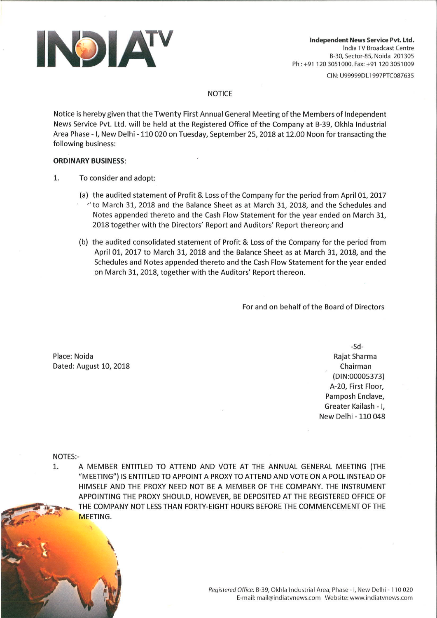

CIN: U99999DL1997PTC087635

## **NOTICE**

Notice is hereby given that the Twenty First Annual General Meeting of the Members of Independent News Service Pvt. Ltd. will be held at the Registered Office of the Company at B-39, Okhla Industrial Area Phase - I, New Delhi - 110 020 on Tuesday, September 25, 2018 at 12.00 Noon for transacting the following business:

## **ORDINARY BUSINESS:**

- 1. To consider and adopt:
	- (a) the audited statement of Profit & Loss of the Company for the period from April 01, 2017 "to March 31, 2018 and the Balance Sheet as at March 31, 2018, and the Schedules and Notes appended thereto and the Cash Flow Statement for the year ended on March 31, 2018 together with the Directors' Report and Auditors' Report thereon; and
	- (b) the audited consolidated statement of Profit & Loss of the Company for the period from April 01, 2017 to March 31, 2018 and the Balance Sheet as at March 31, 2018, and the Schedules and Notes appended thereto and the Cash Flow Statement for the year ended on March 31, 2018, together with the Auditors' Report thereon.

For and on behalf of the Board of Directors

Place: Noida Dated: August 10, 2018

 $-Sd-$ Rajat Sharma Chairman (DIN:00005373) A-20, First Floor, Pamposh Enclave, Greater Kailash - I. New Delhi - 110 048

**NOTES:-**

1. A MEMBER ENTITLED TO ATTEND AND VOTE AT THE ANNUAL GENERAL MEETING (THE "MEETING") IS ENTITLED TO APPOINT A PROXY TO ATTEND AND VOTE ON A POLL INSTEAD OF HIMSELF AND THE PROXY NEED NOT BE A MEMBER OF THE COMPANY. THE INSTRUMENT APPOINTING THE PROXY SHOULD, HOWEVER, BE DEPOSITED AT THE REGISTERED OFFICE OF THE COMPANY NOT LESS THAN FORTY-EIGHT HOURS BEFORE THE COMMENCEMENT OF THE MEETING.